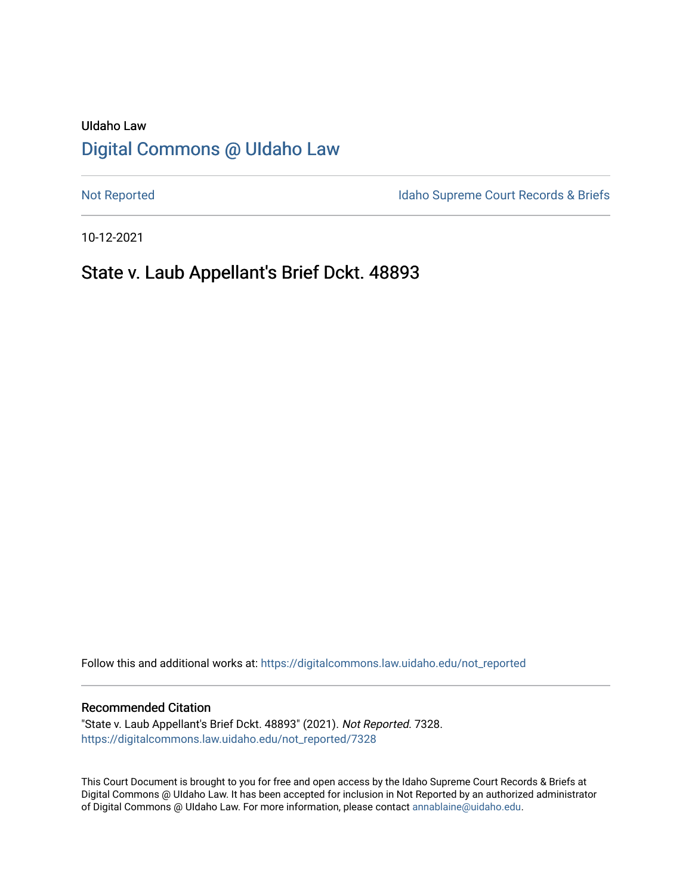# UIdaho Law [Digital Commons @ UIdaho Law](https://digitalcommons.law.uidaho.edu/)

[Not Reported](https://digitalcommons.law.uidaho.edu/not_reported) **Idaho Supreme Court Records & Briefs** 

10-12-2021

## State v. Laub Appellant's Brief Dckt. 48893

Follow this and additional works at: [https://digitalcommons.law.uidaho.edu/not\\_reported](https://digitalcommons.law.uidaho.edu/not_reported?utm_source=digitalcommons.law.uidaho.edu%2Fnot_reported%2F7328&utm_medium=PDF&utm_campaign=PDFCoverPages) 

#### Recommended Citation

"State v. Laub Appellant's Brief Dckt. 48893" (2021). Not Reported. 7328. [https://digitalcommons.law.uidaho.edu/not\\_reported/7328](https://digitalcommons.law.uidaho.edu/not_reported/7328?utm_source=digitalcommons.law.uidaho.edu%2Fnot_reported%2F7328&utm_medium=PDF&utm_campaign=PDFCoverPages)

This Court Document is brought to you for free and open access by the Idaho Supreme Court Records & Briefs at Digital Commons @ UIdaho Law. It has been accepted for inclusion in Not Reported by an authorized administrator of Digital Commons @ UIdaho Law. For more information, please contact [annablaine@uidaho.edu](mailto:annablaine@uidaho.edu).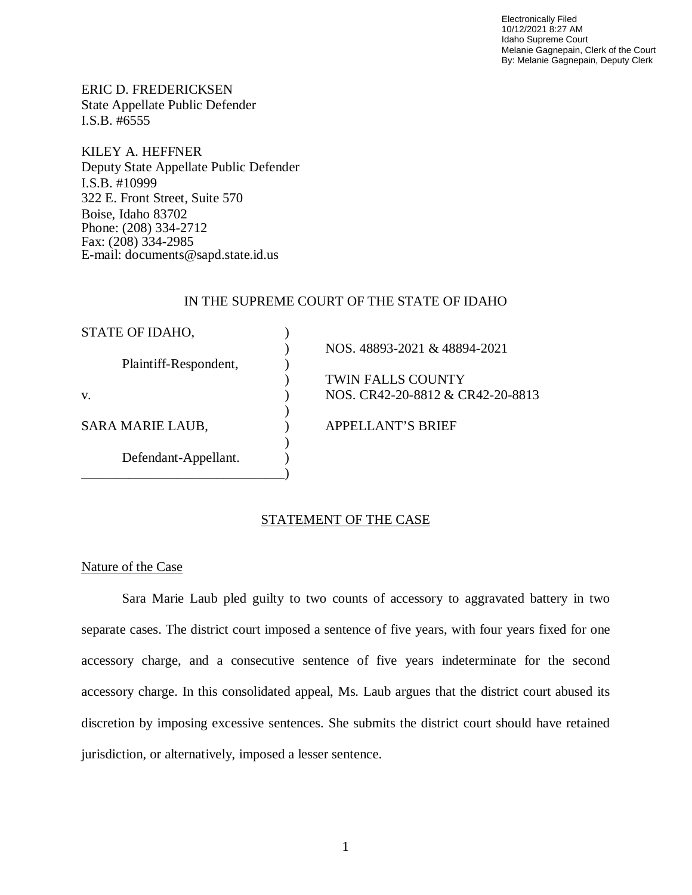Electronically Filed 10/12/2021 8:27 AM Idaho Supreme Court Melanie Gagnepain, Clerk of the Court By: Melanie Gagnepain, Deputy Clerk

ERIC D. FREDERICKSEN State Appellate Public Defender I.S.B. #6555

KILEY A. HEFFNER Deputy State Appellate Public Defender I.S.B. #10999 322 E. Front Street, Suite 570 Boise, Idaho 83702 Phone: (208) 334-2712 Fax: (208) 334-2985 E-mail: documents@sapd.state.id.us

#### IN THE SUPREME COURT OF THE STATE OF IDAHO

| STATE OF IDAHO,         |                                  |  |
|-------------------------|----------------------------------|--|
|                         | NOS. 48893-2021 & 48894-2021     |  |
| Plaintiff-Respondent,   |                                  |  |
|                         | <b>TWIN FALLS COUNTY</b>         |  |
| V.                      | NOS. CR42-20-8812 & CR42-20-8813 |  |
|                         |                                  |  |
| <b>SARA MARIE LAUB,</b> | <b>APPELLANT'S BRIEF</b>         |  |
|                         |                                  |  |
| Defendant-Appellant.    |                                  |  |
|                         |                                  |  |

#### STATEMENT OF THE CASE

### Nature of the Case

Sara Marie Laub pled guilty to two counts of accessory to aggravated battery in two separate cases. The district court imposed a sentence of five years, with four years fixed for one accessory charge, and a consecutive sentence of five years indeterminate for the second accessory charge. In this consolidated appeal, Ms. Laub argues that the district court abused its discretion by imposing excessive sentences. She submits the district court should have retained jurisdiction, or alternatively, imposed a lesser sentence.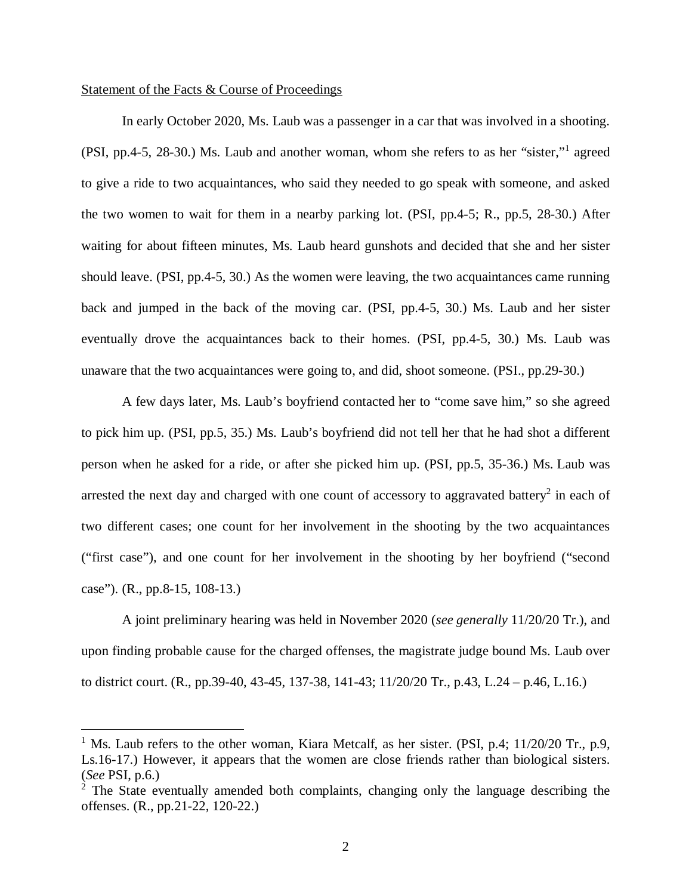#### Statement of the Facts & Course of Proceedings

In early October 2020, Ms. Laub was a passenger in a car that was involved in a shooting. (PSI, pp.4-5, 28-30.) Ms. Laub and another woman, whom she refers to as her "sister,"<sup>[1](#page-2-0)</sup> agreed to give a ride to two acquaintances, who said they needed to go speak with someone, and asked the two women to wait for them in a nearby parking lot. (PSI, pp.4-5; R., pp.5, 28-30.) After waiting for about fifteen minutes, Ms. Laub heard gunshots and decided that she and her sister should leave. (PSI, pp.4-5, 30.) As the women were leaving, the two acquaintances came running back and jumped in the back of the moving car. (PSI, pp.4-5, 30.) Ms. Laub and her sister eventually drove the acquaintances back to their homes. (PSI, pp.4-5, 30.) Ms. Laub was unaware that the two acquaintances were going to, and did, shoot someone. (PSI., pp.29-30.)

A few days later, Ms. Laub's boyfriend contacted her to "come save him," so she agreed to pick him up. (PSI, pp.5, 35.) Ms. Laub's boyfriend did not tell her that he had shot a different person when he asked for a ride, or after she picked him up. (PSI, pp.5, 35-36.) Ms. Laub was arrested the next day and charged with one count of accessory to aggravated battery<sup>[2](#page-2-1)</sup> in each of two different cases; one count for her involvement in the shooting by the two acquaintances ("first case"), and one count for her involvement in the shooting by her boyfriend ("second case"). (R., pp.8-15, 108-13.)

A joint preliminary hearing was held in November 2020 (*see generally* 11/20/20 Tr.), and upon finding probable cause for the charged offenses, the magistrate judge bound Ms. Laub over to district court. (R., pp.39-40, 43-45, 137-38, 141-43; 11/20/20 Tr., p.43, L.24 – p.46, L.16.)

<span id="page-2-0"></span><sup>&</sup>lt;sup>1</sup> Ms. Laub refers to the other woman, Kiara Metcalf, as her sister. (PSI, p.4; 11/20/20 Tr., p.9, Ls.16-17.) However, it appears that the women are close friends rather than biological sisters. (*See* PSI, p.6.)

<span id="page-2-1"></span> $2$  The State eventually amended both complaints, changing only the language describing the offenses. (R., pp.21-22, 120-22.)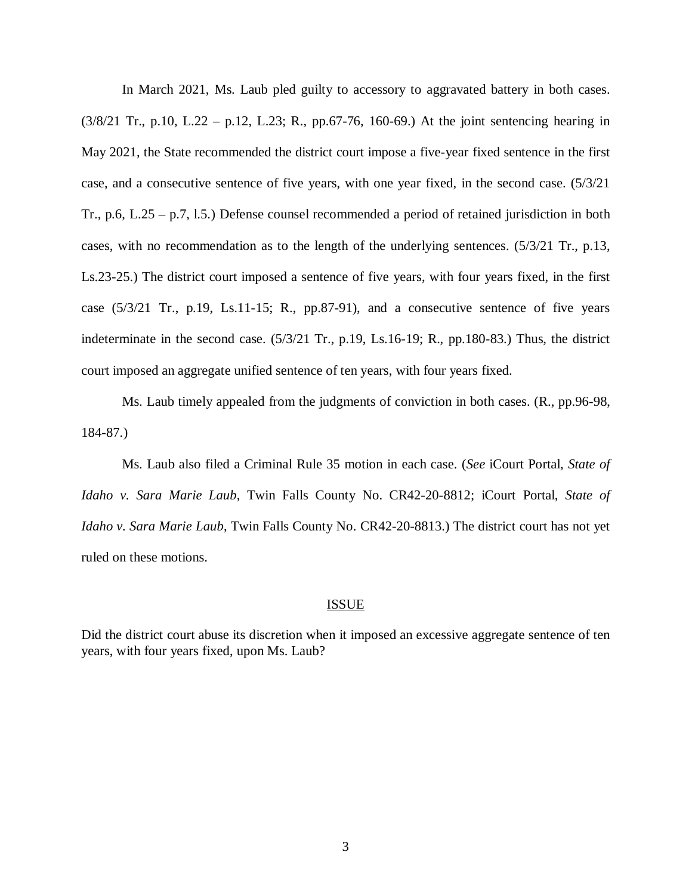In March 2021, Ms. Laub pled guilty to accessory to aggravated battery in both cases. (3/8/21 Tr., p.10, L.22 – p.12, L.23; R., pp.67-76, 160-69.) At the joint sentencing hearing in May 2021, the State recommended the district court impose a five-year fixed sentence in the first case, and a consecutive sentence of five years, with one year fixed, in the second case. (5/3/21 Tr., p.6, L.25 – p.7, l.5.) Defense counsel recommended a period of retained jurisdiction in both cases, with no recommendation as to the length of the underlying sentences. (5/3/21 Tr., p.13, Ls.23-25.) The district court imposed a sentence of five years, with four years fixed, in the first case (5/3/21 Tr., p.19, Ls.11-15; R., pp.87-91), and a consecutive sentence of five years indeterminate in the second case. (5/3/21 Tr., p.19, Ls.16-19; R., pp.180-83.) Thus, the district court imposed an aggregate unified sentence of ten years, with four years fixed.

Ms. Laub timely appealed from the judgments of conviction in both cases. (R., pp.96-98, 184-87.)

Ms. Laub also filed a Criminal Rule 35 motion in each case. (*See* iCourt Portal, *State of Idaho v. Sara Marie Laub*, Twin Falls County No. CR42-20-8812; iCourt Portal, *State of Idaho v. Sara Marie Laub*, Twin Falls County No. CR42-20-8813.) The district court has not yet ruled on these motions.

#### ISSUE

Did the district court abuse its discretion when it imposed an excessive aggregate sentence of ten years, with four years fixed, upon Ms. Laub?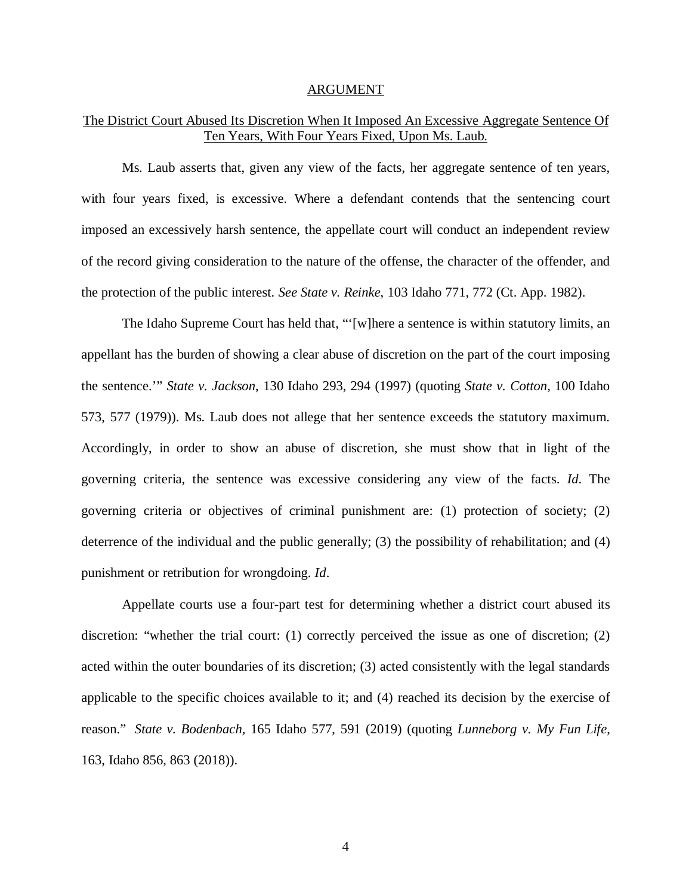#### ARGUMENT

### The District Court Abused Its Discretion When It Imposed An Excessive Aggregate Sentence Of Ten Years, With Four Years Fixed, Upon Ms. Laub.

Ms. Laub asserts that, given any view of the facts, her aggregate sentence of ten years, with four years fixed, is excessive. Where a defendant contends that the sentencing court imposed an excessively harsh sentence, the appellate court will conduct an independent review of the record giving consideration to the nature of the offense, the character of the offender, and the protection of the public interest. *See State v. Reinke*, 103 Idaho 771, 772 (Ct. App. 1982).

The Idaho Supreme Court has held that, "'[w]here a sentence is within statutory limits, an appellant has the burden of showing a clear abuse of discretion on the part of the court imposing the sentence.'" *State v. Jackson*, 130 Idaho 293, 294 (1997) (quoting *State v. Cotton*, 100 Idaho 573, 577 (1979)). Ms. Laub does not allege that her sentence exceeds the statutory maximum. Accordingly, in order to show an abuse of discretion, she must show that in light of the governing criteria, the sentence was excessive considering any view of the facts. *Id*. The governing criteria or objectives of criminal punishment are: (1) protection of society; (2) deterrence of the individual and the public generally; (3) the possibility of rehabilitation; and (4) punishment or retribution for wrongdoing. *Id*.

Appellate courts use a four-part test for determining whether a district court abused its discretion: "whether the trial court: (1) correctly perceived the issue as one of discretion; (2) acted within the outer boundaries of its discretion; (3) acted consistently with the legal standards applicable to the specific choices available to it; and (4) reached its decision by the exercise of reason." *State v. Bodenbach,* 165 Idaho 577, 591 (2019) (quoting *Lunneborg v. My Fun Life*, 163, Idaho 856, 863 (2018)).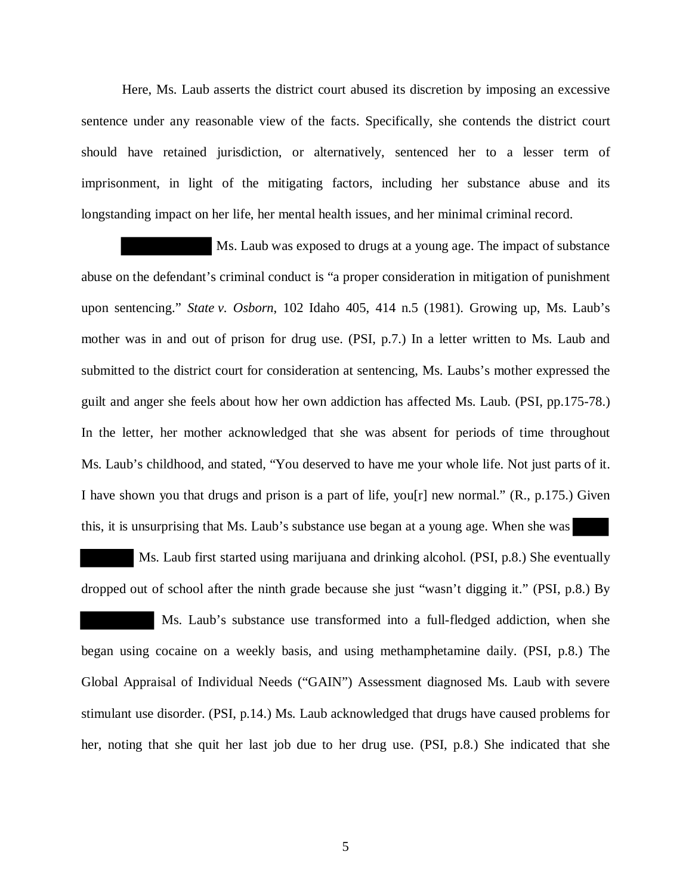Here, Ms. Laub asserts the district court abused its discretion by imposing an excessive sentence under any reasonable view of the facts. Specifically, she contends the district court should have retained jurisdiction, or alternatively, sentenced her to a lesser term of imprisonment, in light of the mitigating factors, including her substance abuse and its longstanding impact on her life, her mental health issues, and her minimal criminal record.

 Ms. Laub was exposed to drugs at a young age. The impact of substance abuse on the defendant's criminal conduct is "a proper consideration in mitigation of punishment upon sentencing." *State v. Osborn*, 102 Idaho 405, 414 n.5 (1981). Growing up, Ms. Laub's mother was in and out of prison for drug use. (PSI, p.7.) In a letter written to Ms. Laub and submitted to the district court for consideration at sentencing, Ms. Laubs's mother expressed the guilt and anger she feels about how her own addiction has affected Ms. Laub. (PSI, pp.175-78.) In the letter, her mother acknowledged that she was absent for periods of time throughout Ms. Laub's childhood, and stated, "You deserved to have me your whole life. Not just parts of it. I have shown you that drugs and prison is a part of life, you[r] new normal."  $(R., p.175.)$  Given this, it is unsurprising that Ms. Laub's substance use began at a young age. When she was

 Ms. Laub first started using marijuana and drinking alcohol. (PSI, p.8.) She eventually dropped out of school after the ninth grade because she just "wasn't digging it." (PSI, p.8.) By Ms. Laub's substance use transformed into a full-fledged addiction, when she began using cocaine on a weekly basis, and using methamphetamine daily. (PSI, p.8.) The Global Appraisal of Individual Needs ("GAIN") Assessment diagnosed Ms. Laub with severe stimulant use disorder. (PSI, p.14.) Ms. Laub acknowledged that drugs have caused problems for her, noting that she quit her last job due to her drug use. (PSI, p.8.) She indicated that she

5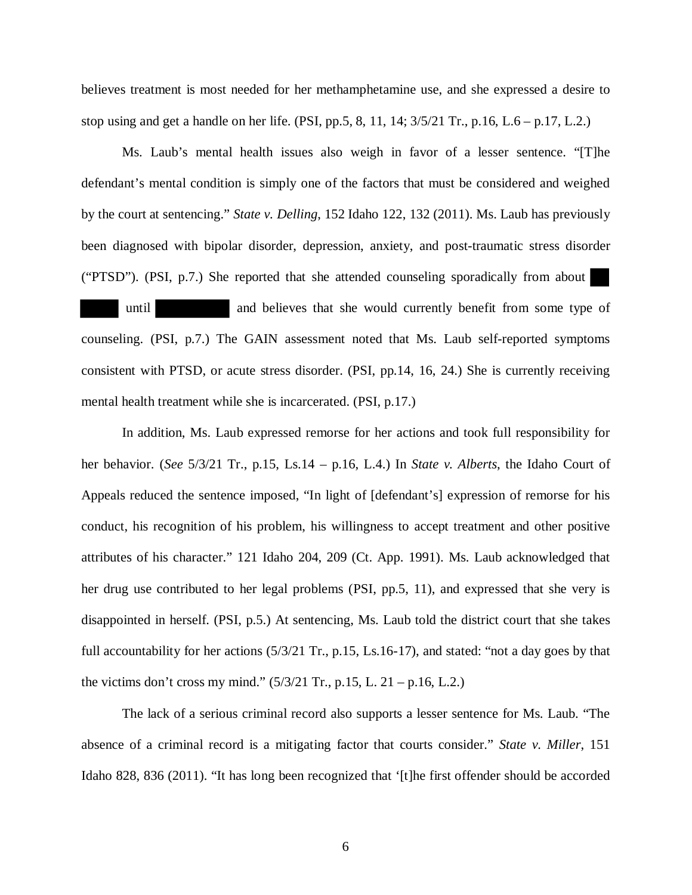believes treatment is most needed for her methamphetamine use, and she expressed a desire to stop using and get a handle on her life. (PSI, pp.5, 8, 11, 14;  $3/5/21$  Tr., p.16, L.6 – p.17, L.2.)

Ms. Laub's mental health issues also weigh in favor of a lesser sentence. "[T]he defendant's mental condition is simply one of the factors that must be considered and weighed by the court at sentencing." *State v. Delling*, 152 Idaho 122, 132 (2011). Ms. Laub has previously been diagnosed with bipolar disorder, depression, anxiety, and post-traumatic stress disorder ("PTSD"). (PSI, p.7.) She reported that she attended counseling sporadically from about until and believes that she would currently benefit from some type of counseling. (PSI, p.7.) The GAIN assessment noted that Ms. Laub self-reported symptoms consistent with PTSD, or acute stress disorder. (PSI, pp.14, 16, 24.) She is currently receiving mental health treatment while she is incarcerated. (PSI, p.17.)

In addition, Ms. Laub expressed remorse for her actions and took full responsibility for her behavior. (*See* 5/3/21 Tr., p.15, Ls.14 – p.16, L.4.) In *State v. Alberts*, the Idaho Court of Appeals reduced the sentence imposed, "In light of [defendant's] expression of remorse for his conduct, his recognition of his problem, his willingness to accept treatment and other positive attributes of his character." 121 Idaho 204, 209 (Ct. App. 1991). Ms. Laub acknowledged that her drug use contributed to her legal problems (PSI, pp.5, 11), and expressed that she very is disappointed in herself. (PSI, p.5.) At sentencing, Ms. Laub told the district court that she takes full accountability for her actions  $(5/3/21 \text{ Tr.}, p.15, Ls.16-17)$ , and stated: "not a day goes by that the victims don't cross my mind."  $(5/3/21 \text{ Tr.}, p.15, L. 21 - p.16, L.2.)$ 

The lack of a serious criminal record also supports a lesser sentence for Ms. Laub. "The absence of a criminal record is a mitigating factor that courts consider." *State v. Miller*, 151 Idaho 828, 836 (2011). "It has long been recognized that '[t]he first offender should be accorded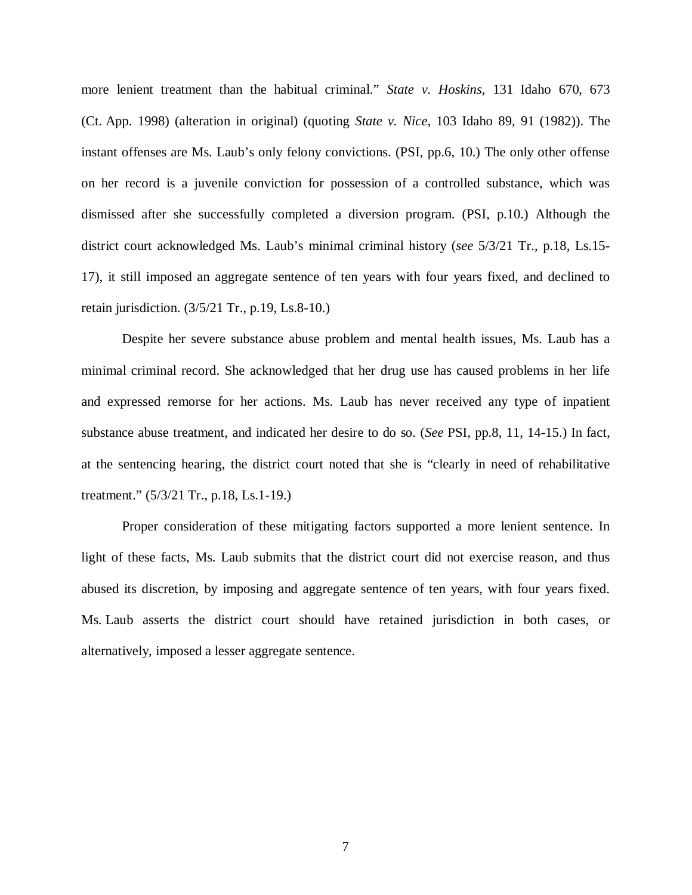more lenient treatment than the habitual criminal." *State v. Hoskins*, 131 Idaho 670, 673 (Ct. App. 1998) (alteration in original) (quoting *State v. Nice,* 103 Idaho 89, 91 (1982)). The instant offenses are Ms. Laub's only felony convictions. (PSI, pp.6, 10.) The only other offense on her record is a juvenile conviction for possession of a controlled substance, which was dismissed after she successfully completed a diversion program. (PSI, p.10.) Although the district court acknowledged Ms. Laub's minimal criminal history (*see* 5/3/21 Tr., p.18, Ls.15- 17), it still imposed an aggregate sentence of ten years with four years fixed, and declined to retain jurisdiction. (3/5/21 Tr., p.19, Ls.8-10.)

Despite her severe substance abuse problem and mental health issues, Ms. Laub has a minimal criminal record. She acknowledged that her drug use has caused problems in her life and expressed remorse for her actions. Ms. Laub has never received any type of inpatient substance abuse treatment, and indicated her desire to do so. (*See* PSI, pp.8, 11, 14-15.) In fact, at the sentencing hearing, the district court noted that she is "clearly in need of rehabilitative treatment." (5/3/21 Tr., p.18, Ls.1-19.)

Proper consideration of these mitigating factors supported a more lenient sentence. In light of these facts, Ms. Laub submits that the district court did not exercise reason, and thus abused its discretion, by imposing and aggregate sentence of ten years, with four years fixed. Ms. Laub asserts the district court should have retained jurisdiction in both cases, or alternatively, imposed a lesser aggregate sentence.